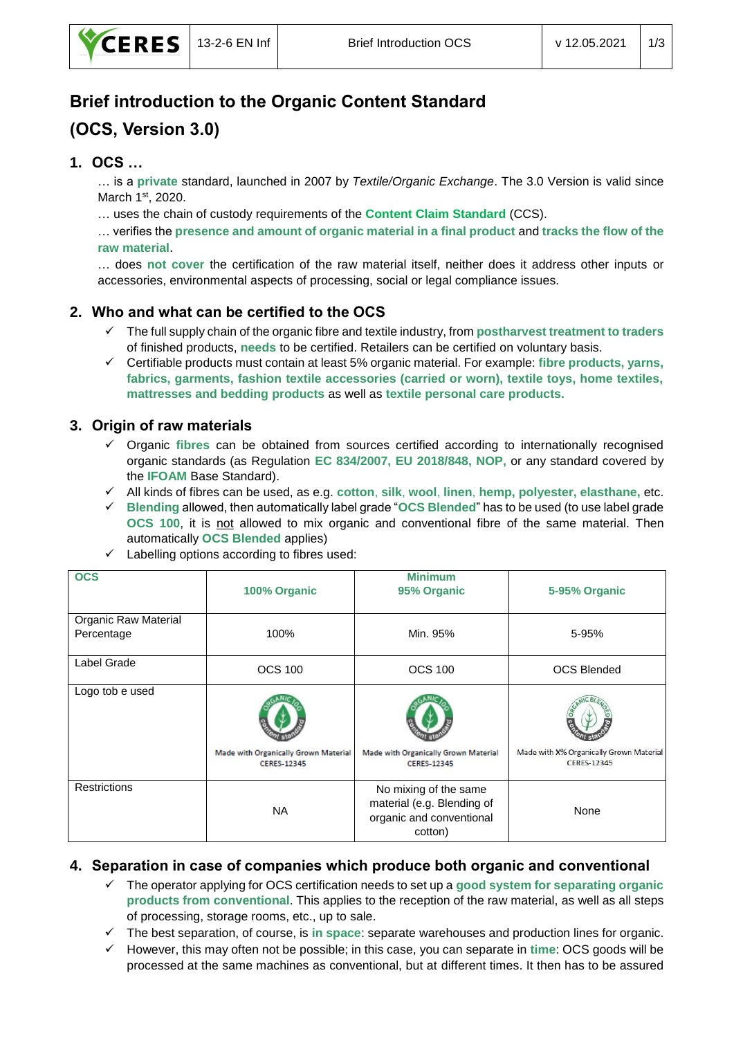# **Brief introduction to the Organic Content Standard (OCS, Version 3.0)**

### **1. OCS …**

… is a **private** standard, launched in 2007 by *Textile/Organic Exchange*. The 3.0 Version is valid since March 1<sup>st</sup>, 2020.

… uses the chain of custody requirements of the **Content Claim Standard** (CCS).

… verifies the **presence and amount of organic material in a final product** and **tracks the flow of the raw material**.

… does **not cover** the certification of the raw material itself, neither does it address other inputs or accessories, environmental aspects of processing, social or legal compliance issues.

# **2. Who and what can be certified to the OCS**

- ✓ The full supply chain of the organic fibre and textile industry, from **postharvest treatment to traders** of finished products, **needs** to be certified. Retailers can be certified on voluntary basis.
- ✓ Certifiable products must contain at least 5% organic material. For example: **fibre products, yarns, fabrics, garments, fashion textile accessories (carried or worn), textile toys, home textiles, mattresses and bedding products** as well as **textile personal care products.**

# **3. Origin of raw materials**

- ✓ Organic **fibres** can be obtained from sources certified according to internationally recognised organic standards (as Regulation **EC 834/2007, EU 2018/848, NOP,** or any standard covered by the **IFOAM** Base Standard).
- ✓ All kinds of fibres can be used, as e.g. **cotton**, **silk**, **wool**, **linen**, **hemp, polyester, elasthane,** etc.
- ✓ **Blending** allowed, then automatically label grade "**OCS Blended**" has to be used (to use label grade OCS 100, it is not allowed to mix organic and conventional fibre of the same material. Then automatically **OCS Blended** applies)

| <b>OCS</b>                         | 100% Organic                                               | <b>Minimum</b><br>95% Organic                                                              | 5-95% Organic                                                 |
|------------------------------------|------------------------------------------------------------|--------------------------------------------------------------------------------------------|---------------------------------------------------------------|
| Organic Raw Material<br>Percentage | 100%                                                       | Min. 95%                                                                                   | 5-95%                                                         |
| Label Grade                        | <b>OCS 100</b>                                             | <b>OCS 100</b>                                                                             | <b>OCS Blended</b>                                            |
| Logo tob e used                    |                                                            |                                                                                            |                                                               |
|                                    | Made with Organically Grown Material<br><b>CERES-12345</b> | Made with Organically Grown Material<br><b>CERES-12345</b>                                 | Made with X% Organically Grown Material<br><b>CERES-12345</b> |
| <b>Restrictions</b>                | <b>NA</b>                                                  | No mixing of the same<br>material (e.g. Blending of<br>organic and conventional<br>cotton) | None                                                          |

✓ Labelling options according to fibres used:

#### **4. Separation in case of companies which produce both organic and conventional**

- ✓ The operator applying for OCS certification needs to set up a **good system for separating organic products from conventional**. This applies to the reception of the raw material, as well as all steps of processing, storage rooms, etc., up to sale.
- ✓ The best separation, of course, is **in space**: separate warehouses and production lines for organic.
- ✓ However, this may often not be possible; in this case, you can separate in **time**: OCS goods will be processed at the same machines as conventional, but at different times. It then has to be assured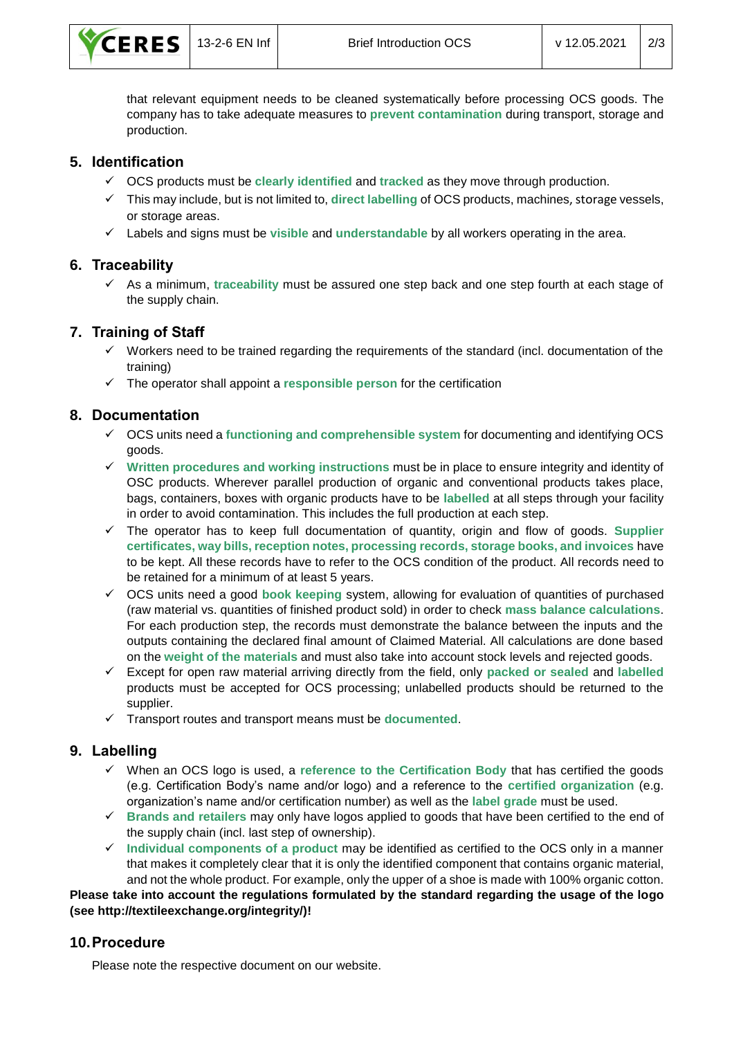

that relevant equipment needs to be cleaned systematically before processing OCS goods. The company has to take adequate measures to **prevent contamination** during transport, storage and production.

#### **5. Identification**

- ✓ OCS products must be **clearly identified** and **tracked** as they move through production.
- ✓ This may include, but is not limited to, **direct labelling** of OCS products, machines, storage vessels, or storage areas.
- ✓ Labels and signs must be **visible** and **understandable** by all workers operating in the area.

#### **6. Traceability**

✓ As a minimum, **traceability** must be assured one step back and one step fourth at each stage of the supply chain.

#### **7. Training of Staff**

- ✓ Workers need to be trained regarding the requirements of the standard (incl. documentation of the training)
- ✓ The operator shall appoint a **responsible person** for the certification

#### **8. Documentation**

- ✓ OCS units need a **functioning and comprehensible system** for documenting and identifying OCS goods.
- ✓ **Written procedures and working instructions** must be in place to ensure integrity and identity of OSC products. Wherever parallel production of organic and conventional products takes place, bags, containers, boxes with organic products have to be **labelled** at all steps through your facility in order to avoid contamination. This includes the full production at each step.
- ✓ The operator has to keep full documentation of quantity, origin and flow of goods. **Supplier certificates, way bills, reception notes, processing records, storage books, and invoices** have to be kept. All these records have to refer to the OCS condition of the product. All records need to be retained for a minimum of at least 5 years.
- ✓ OCS units need a good **book keeping** system, allowing for evaluation of quantities of purchased (raw material vs. quantities of finished product sold) in order to check **mass balance calculations**. For each production step, the records must demonstrate the balance between the inputs and the outputs containing the declared final amount of Claimed Material. All calculations are done based on the **weight of the materials** and must also take into account stock levels and rejected goods.
- ✓ Except for open raw material arriving directly from the field, only **packed or sealed** and **labelled** products must be accepted for OCS processing; unlabelled products should be returned to the supplier.
- ✓ Transport routes and transport means must be **documented**.

#### **9. Labelling**

- ✓ When an OCS logo is used, a **reference to the Certification Body** that has certified the goods (e.g. Certification Body's name and/or logo) and a reference to the **certified organization** (e.g. organization's name and/or certification number) as well as the **label grade** must be used.
- ✓ **Brands and retailers** may only have logos applied to goods that have been certified to the end of the supply chain (incl. last step of ownership).
- ✓ **Individual components of a product** may be identified as certified to the OCS only in a manner that makes it completely clear that it is only the identified component that contains organic material, and not the whole product. For example, only the upper of a shoe is made with 100% organic cotton.

**Please take into account the regulations formulated by the standard regarding the usage of the logo (see http://textileexchange.org/integrity/)!**

#### **10.Procedure**

Please note the respective document on our website.